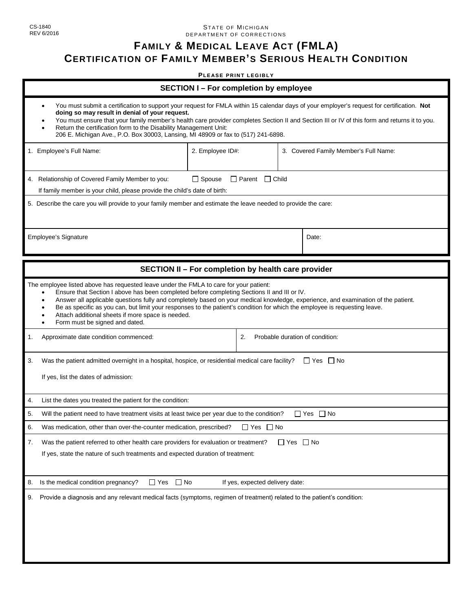## CS-1840 REV 6/2016

## STATE OF MICHIGAN DEPARTMENT OF CORREC TIONS

## **FAMILY & MEDICAL LEAVE ACT (FMLA)**

## **CERTIFICATION OF FAMILY MEMBER'S SERIOUS HEALTH CONDITION**

**PLE ASE P R I N T L EG I B L Y**

| <b>SECTION I-For completion by employee</b>                                                                                                                                                                                                                                                                                                                                                                                                                                                                                                                  |                                                     |  |                                       |  |  |
|--------------------------------------------------------------------------------------------------------------------------------------------------------------------------------------------------------------------------------------------------------------------------------------------------------------------------------------------------------------------------------------------------------------------------------------------------------------------------------------------------------------------------------------------------------------|-----------------------------------------------------|--|---------------------------------------|--|--|
| You must submit a certification to support your request for FMLA within 15 calendar days of your employer's request for certification. Not<br>$\bullet$<br>doing so may result in denial of your request.<br>You must ensure that your family member's health care provider completes Section II and Section III or IV of this form and returns it to you.<br>Return the certification form to the Disability Management Unit:<br>206 E. Michigan Ave., P.O. Box 30003, Lansing, MI 48909 or fax to (517) 241-6898.                                          |                                                     |  |                                       |  |  |
| 1. Employee's Full Name:                                                                                                                                                                                                                                                                                                                                                                                                                                                                                                                                     | 2. Employee ID#:                                    |  | 3. Covered Family Member's Full Name: |  |  |
| $\Box$ Spouse<br>$\Box$ Parent $\Box$ Child<br>4. Relationship of Covered Family Member to you:<br>If family member is your child, please provide the child's date of birth:                                                                                                                                                                                                                                                                                                                                                                                 |                                                     |  |                                       |  |  |
| 5. Describe the care you will provide to your family member and estimate the leave needed to provide the care:                                                                                                                                                                                                                                                                                                                                                                                                                                               |                                                     |  |                                       |  |  |
| <b>Employee's Signature</b>                                                                                                                                                                                                                                                                                                                                                                                                                                                                                                                                  |                                                     |  | Date:                                 |  |  |
|                                                                                                                                                                                                                                                                                                                                                                                                                                                                                                                                                              | SECTION II - For completion by health care provider |  |                                       |  |  |
| The employee listed above has requested leave under the FMLA to care for your patient:<br>Ensure that Section I above has been completed before completing Sections II and III or IV.<br>$\bullet$<br>Answer all applicable questions fully and completely based on your medical knowledge, experience, and examination of the patient.<br>Be as specific as you can, but limit your responses to the patient's condition for which the employee is requesting leave.<br>Attach additional sheets if more space is needed.<br>Form must be signed and dated. |                                                     |  |                                       |  |  |
| 1.<br>Approximate date condition commenced:<br>2.                                                                                                                                                                                                                                                                                                                                                                                                                                                                                                            |                                                     |  | Probable duration of condition:       |  |  |
| 3.<br>Was the patient admitted overnight in a hospital, hospice, or residential medical care facility?<br>$\Box$ Yes $\Box$ No<br>If yes, list the dates of admission:                                                                                                                                                                                                                                                                                                                                                                                       |                                                     |  |                                       |  |  |
| 4.<br>List the dates you treated the patient for the condition:                                                                                                                                                                                                                                                                                                                                                                                                                                                                                              |                                                     |  |                                       |  |  |
| 5.<br>$\Box$ Yes $\Box$ No<br>Will the patient need to have treatment visits at least twice per year due to the condition?                                                                                                                                                                                                                                                                                                                                                                                                                                   |                                                     |  |                                       |  |  |
| Was medication, other than over-the-counter medication, prescribed? $\Box$ Yes $\Box$ No                                                                                                                                                                                                                                                                                                                                                                                                                                                                     |                                                     |  |                                       |  |  |
| 7.<br>Was the patient referred to other health care providers for evaluation or treatment?<br>$\Box$ Yes $\Box$ No<br>If yes, state the nature of such treatments and expected duration of treatment:                                                                                                                                                                                                                                                                                                                                                        |                                                     |  |                                       |  |  |
| Is the medical condition pregnancy?<br>8.<br>$\Box$ Yes<br>$\Box$ No<br>If yes, expected delivery date:                                                                                                                                                                                                                                                                                                                                                                                                                                                      |                                                     |  |                                       |  |  |
| Provide a diagnosis and any relevant medical facts (symptoms, regimen of treatment) related to the patient's condition:<br>9.                                                                                                                                                                                                                                                                                                                                                                                                                                |                                                     |  |                                       |  |  |